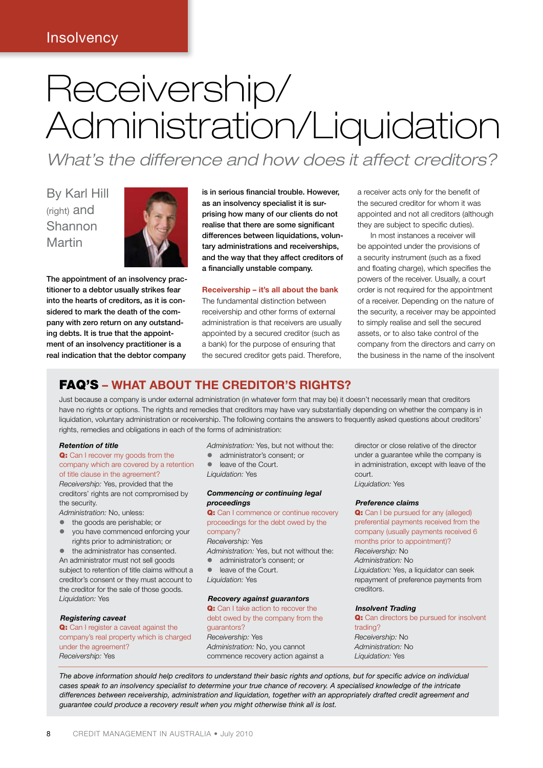# Receivership/ Administration/Liquidation

*What's the difference and how does it affect creditors?*

By Karl Hill (right) and Shannon Martin



The appointment of an insolvency practitioner to a debtor usually strikes fear into the hearts of creditors, as it is considered to mark the death of the company with zero return on any outstanding debts. It is true that the appointment of an insolvency practitioner is a real indication that the debtor company

is in serious financial trouble. However, as an insolvency specialist it is surprising how many of our clients do not realise that there are some significant differences between liquidations, voluntary administrations and receiverships, and the way that they affect creditors of a financially unstable company.

#### **Receivership – it's all about the bank**

The fundamental distinction between receivership and other forms of external administration is that receivers are usually appointed by a secured creditor (such as a bank) for the purpose of ensuring that the secured creditor gets paid. Therefore, a receiver acts only for the benefit of the secured creditor for whom it was appointed and not all creditors (although they are subject to specific duties).

In most instances a receiver will be appointed under the provisions of a security instrument (such as a fixed and floating charge), which specifies the powers of the receiver. Usually, a court order is not required for the appointment of a receiver. Depending on the nature of the security, a receiver may be appointed to simply realise and sell the secured assets, or to also take control of the company from the directors and carry on the business in the name of the insolvent

### FAQ'S **– WHAT ABOUT THE CREDITOR'S RIGHTS?**

Just because a company is under external administration (in whatever form that may be) it doesn't necessarily mean that creditors have no rights or options. The rights and remedies that creditors may have vary substantially depending on whether the company is in liquidation, voluntary administration or receivership. The following contains the answers to frequently asked questions about creditors' rights, remedies and obligations in each of the forms of administration:

#### *Retention of title*

#### Q: Can I recover my goods from the company which are covered by a retention of title clause in the agreement?

*Receivership:* Yes, provided that the creditors' rights are not compromised by the security.

- *Administration:* No, unless:
- the goods are perishable; or
- $\bullet$  you have commenced enforcing your rights prior to administration; or
- $\bullet$  the administrator has consented.

An administrator must not sell goods subject to retention of title claims without a creditor's consent or they must account to the creditor for the sale of those goods. *Liquidation:* Yes

#### *Registering caveat*

Q: Can I register a caveat against the company's real property which is charged under the agreement? *Receivership:* Yes

*Administration:* Yes, but not without the:

**e** administrator's consent; or

**Court** *Liquidation:* Yes

#### *Commencing or continuing legal proceedings*

Q: Can I commence or continue recovery proceedings for the debt owed by the company? *Receivership:* Yes

*Administration:* Yes, but not without the:

**administrator's consent: or** 

• leave of the Court. *Liquidation:* Yes

#### *Recovery against guarantors*

Q: Can I take action to recover the debt owed by the company from the guarantors? *Receivership:* Yes *Administration:* No, you cannot commence recovery action against a director or close relative of the director under a guarantee while the company is in administration, except with leave of the court. *Liquidation:* Yes

#### *Preference claims*

Q: Can I be pursued for any (alleged) preferential payments received from the company (usually payments received 6 months prior to appointment)? *Receivership:* No *Administration:* No *Liquidation:* Yes, a liquidator can seek repayment of preference payments from creditors.

#### *Insolvent Trading*

Q: Can directors be pursued for insolvent trading? *Receivership:* No *Administration:* No *Liquidation:* Yes

*The above information should help creditors to understand their basic rights and options, but for specific advice on individual cases speak to an insolvency specialist to determine your true chance of recovery. A specialised knowledge of the intricate differences between receivership, administration and liquidation, together with an appropriately drafted credit agreement and guarantee could produce a recovery result when you might otherwise think all is lost.*